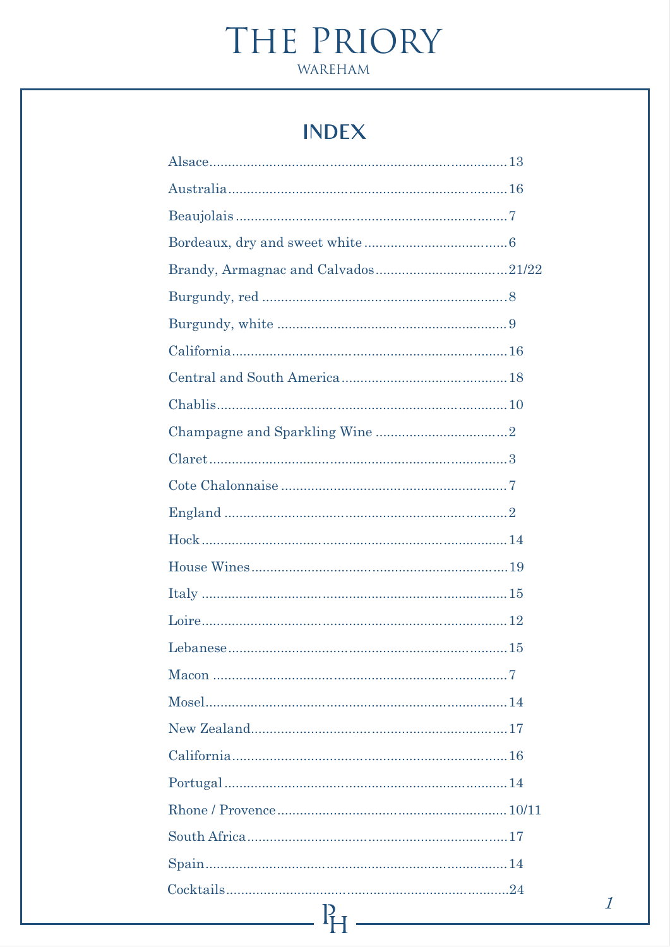# **INDEX**

| $\Gamma$ <sub>H</sub> |
|-----------------------|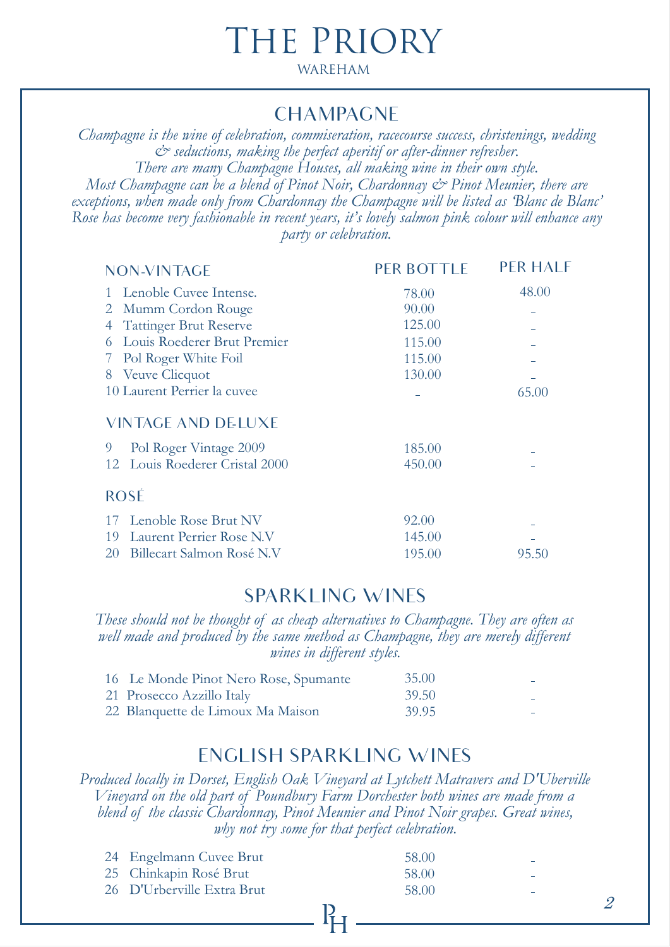### CHAMPAGNE

*Champagne is the wine of celebration, commiseration, racecourse success, christenings, wedding & seductions, making the perfect aperitif or after-dinner refresher. There are many Champagne Houses, all making wine in their own style. Most Champagne can be a blend of Pinot Noir, Chardonnay*  $\mathcal{O}^*$  *Pinot Meunier, there are exceptions, when made only from Chardonnay the Champagne will be listed as 'Blanc de Blanc' Rose has become very fashionable in recent years, it's lovely salmon pink colour will enhance any party or celebration.*

| <b>NON-VINTAGE</b>                         | <b>PER BOTTLE</b> | PFR HAI F |
|--------------------------------------------|-------------------|-----------|
| Lenoble Cuvee Intense.                     | 78.00             | 48.00     |
| Mumm Cordon Rouge<br>$\mathbf{2}^{\prime}$ | 90.00             |           |
| <b>Tattinger Brut Reserve</b>              | 125.00            |           |
| Louis Roederer Brut Premier                | 115.00            |           |
| Pol Roger White Foil                       | 115.00            |           |
| <b>Veuve Clicquot</b><br>8                 | 130.00            |           |
| 10 Laurent Perrier la cuvee                |                   | 65.00     |
| <b>VINTAGE AND DELUXE</b>                  |                   |           |
| 9<br>Pol Roger Vintage 2009                | 185.00            |           |
| Louis Roederer Cristal 2000<br>12          | 450.00            |           |
| <b>ROSÉ</b>                                |                   |           |
| Lenoble Rose Brut NV<br>17                 | 92.00             |           |
| Laurent Perrier Rose N.V<br>19             | 145.00            |           |
| Billecart Salmon Rosé N.V<br>20            | 195.00            | 95.50     |
|                                            |                   |           |

# SPARKLING WINES

*These should not be thought of as cheap alternatives to Champagne. They are often as*  well made and produced by the same method as Champagne, they are merely different *wines in different styles.* 

| 16 Le Monde Pinot Nero Rose, Spumante | 35.00 |  |
|---------------------------------------|-------|--|
| 21 Prosecco Azzillo Italy             | 39.50 |  |
| 22 Blanquette de Limoux Ma Maison     | 39.95 |  |

### ENGLISH SPARKLING WINES

*Produced locally in Dorset, English Oak Vineyard at Lytchett Matravers and D'Uberville Vineyard on the old part of Poundbury Farm Dorchester both wines are made from a blend of the classic Chardonnay, Pinot Meunier and Pinot Noir grapes. Great wines, why not try some for that perfect celebration.*

| 24 Engelmann Cuvee Brut    | 58.00 |   |
|----------------------------|-------|---|
| 25 Chinkapin Rosé Brut     | 58.00 |   |
| 26 D'Urberville Extra Brut | 58.00 | - |
|                            |       |   |

lí<sub>-</sub>

2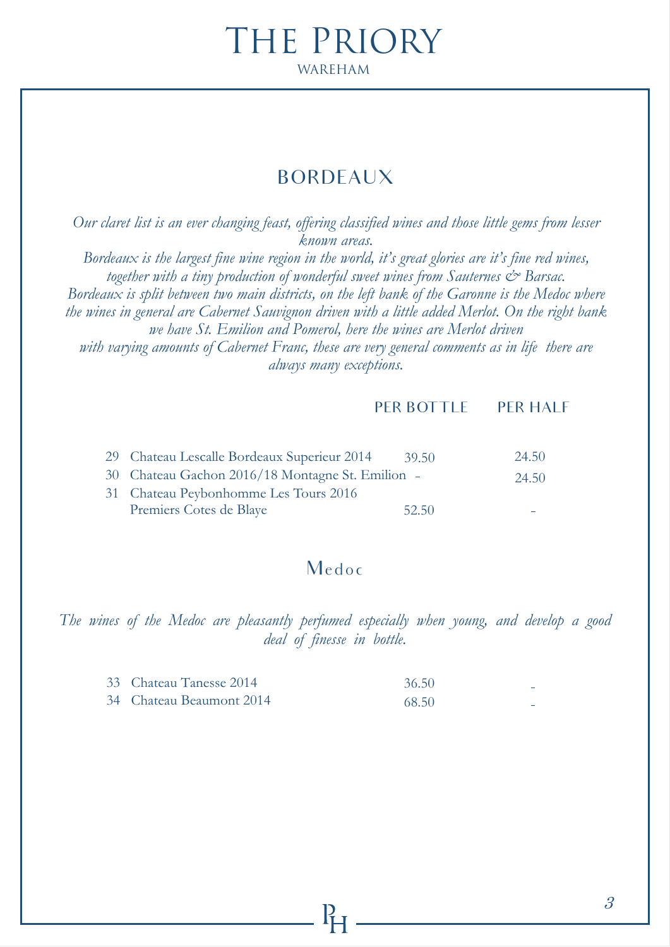# BORDEAUX

*Our claret list is an ever changing feast, offering classified wines and those little gems from lesser known areas. Bordeaux is the largest fine wine region in the world, it's great glories are it's fine red wines, together with a tiny production of wonderful sweet wines from Sauternes*  $\mathcal{C}^*$  *Barsac. Bordeaux is split between two main districts, on the left bank of the Garonne is the Medoc where the wines in general are Cabernet Sauvignon driven with a little added Merlot. On the right bank we have St. Emilion and Pomerol, here the wines are Merlot driven with varying amounts of Cabernet Franc, these are very general comments as in life there are*

*always many exceptions.*

#### PER BOTTLE PER HALF

| 29 Chateau Lescalle Bordeaux Superieur 2014      | 39.50 | 24.50 |
|--------------------------------------------------|-------|-------|
| 30 Chateau Gachon 2016/18 Montagne St. Emilion - |       | 24.50 |
| 31 Chateau Peybonhomme Les Tours 2016            |       |       |
| Premiers Cotes de Blaye                          | 52.50 |       |

### Medoc

*The wines of the Medoc are pleasantly perfumed especially when young, and develop a good deal of finesse in bottle.*

| 33 Chateau Tanesse 2014  | 36.50 |  |
|--------------------------|-------|--|
| 34 Chateau Beaumont 2014 | 68.50 |  |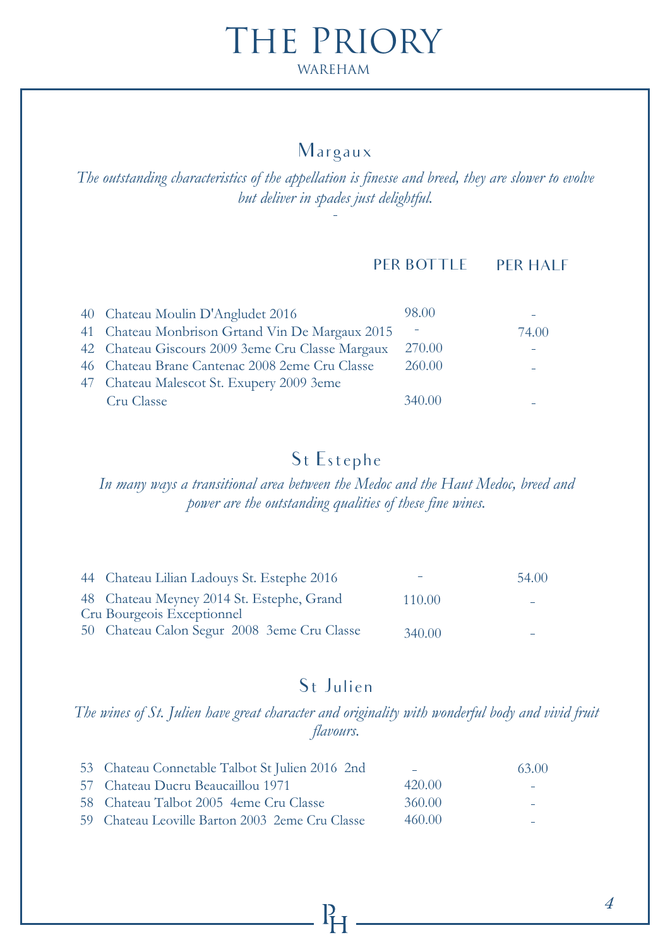### Margaux

*The outstanding characteristics of the appellation is finesse and breed, they are slower to evolve but deliver in spades just delightful.*

#### PER BOTTLE PER HALF

| 40 Chateau Moulin D'Angludet 2016                | 98.00  |       |
|--------------------------------------------------|--------|-------|
| 41 Chateau Monbrison Grtand Vin De Margaux 2015  |        | 74.00 |
| 42 Chateau Giscours 2009 3eme Cru Classe Margaux | 270.00 |       |
| 46 Chateau Brane Cantenac 2008 2eme Cru Classe   | 260.00 |       |
| 47 Chateau Malescot St. Exupery 2009 3eme        |        |       |
| Cru Classe                                       | 340.00 |       |

# St Estephe

*In many ways a transitional area between the Medoc and the Haut Medoc, breed and power are the outstanding qualities of these fine wines.*

|                                                                                                                                                                      | 54.00  |
|----------------------------------------------------------------------------------------------------------------------------------------------------------------------|--------|
|                                                                                                                                                                      |        |
|                                                                                                                                                                      |        |
| 340.00                                                                                                                                                               |        |
| 44 Chateau Lilian Ladouys St. Estephe 2016<br>48 Chateau Meyney 2014 St. Estephe, Grand<br>Cru Bourgeois Exceptionnel<br>50 Chateau Calon Segur 2008 3eme Cru Classe | 110.00 |

# St Julien

*The wines of St. Julien have great character and originality with wonderful body and vivid fruit flavours.*

| 53 Chateau Connetable Talbot St Julien 2016 2nd |        | 63.00 |
|-------------------------------------------------|--------|-------|
| 57 Chateau Ducru Beaucaillou 1971               | 420.00 |       |
| 58 Chateau Talbot 2005 4eme Cru Classe          | 360.00 |       |
| 59 Chateau Leoville Barton 2003 2eme Cru Classe | 460.00 |       |

 $\mathbf{R}$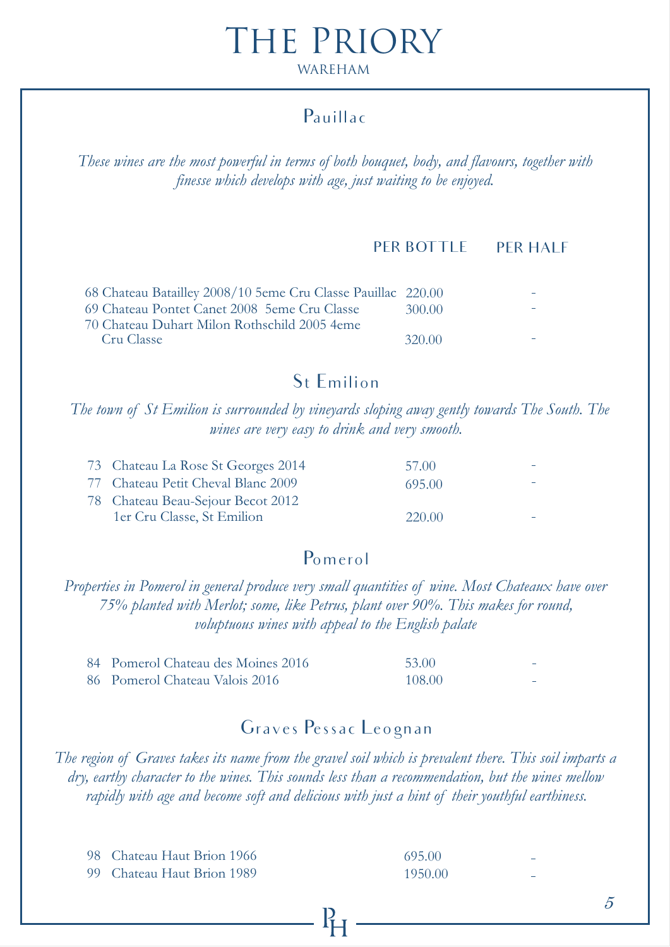# Pauillac

*These wines are the most powerful in terms of both bouquet, body, and flavours, together with finesse which develops with age, just waiting to be enjoyed.* 

#### PER BOTTLE PER HALF

| 68 Chateau Batailley 2008/10 5eme Cru Classe Pauillac 220.00 |        |  |
|--------------------------------------------------------------|--------|--|
| 69 Chateau Pontet Canet 2008 5eme Cru Classe                 | 300.00 |  |
| 70 Chateau Duhart Milon Rothschild 2005 4eme                 |        |  |
| Cru Classe                                                   | 320.00 |  |

### St Emilion

*The town of St Emilion is surrounded by vineyards sloping away gently towards The South. The wines are very easy to drink and very smooth.*

| 73 Chateau La Rose St Georges 2014 | 57.00  |  |
|------------------------------------|--------|--|
| 77 Chateau Petit Cheval Blanc 2009 | 695.00 |  |
| 78 Chateau Beau-Sejour Becot 2012  |        |  |
| 1er Cru Classe, St Emilion         | 220.00 |  |

### Pomerol

*Properties in Pomerol in general produce very small quantities of wine. Most Chateaux have over 75% planted with Merlot; some, like Petrus, plant over 90%. This makes for round, voluptuous wines with appeal to the English palate*

| 84 Pomerol Chateau des Moines 2016 | 53.00  | $\overline{\phantom{a}}$ |
|------------------------------------|--------|--------------------------|
| 86 Pomerol Chateau Valois 2016     | 108.00 | _                        |

### Graves Pessac Leognan

*The region of Graves takes its name from the gravel soil which is prevalent there. This soil imparts a dry, earthy character to the wines. This sounds less than a recommendation, but the wines mellow rapidly with age and become soft and delicious with just a hint of their youthful earthiness.*

| 98 Chateau Haut Brion 1966 | 695.00  | - |
|----------------------------|---------|---|
| 99 Chateau Haut Brion 1989 | 1950.00 |   |

5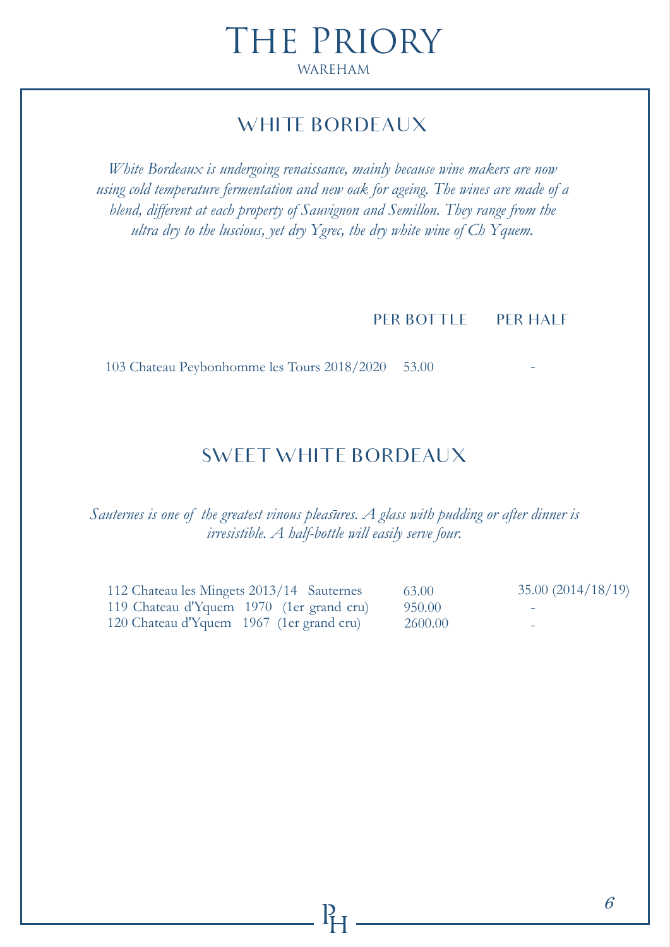# WHITE BORDEAUX

*White Bordeaux is undergoing renaissance, mainly because wine makers are now using cold temperature fermentation and new oak for ageing. The wines are made of a blend, different at each property of Sauvignon and Semillon. They range from the ultra dry to the luscious, yet dry Ygrec, the dry white wine of Ch Yquem.* 

PER BOTTLE PER HALF

103 Chateau Peybonhomme les Tours 2018/2020 53.00

# SWEET WHITE BORDEAUX

*Sauternes is one of the greatest vinous pleasures. A glass with pudding or after dinner is irresistible. A half-bottle will easily serve four.*

112 Chateau les Mingets 2013/14 Sauternes 119 Chateau d'Yquem 1970 (1er grand cru) 120 Chateau d'Yquem 1967 (1er grand cru) 63.00 35.00 (2014/18/19) 950.00 2600.00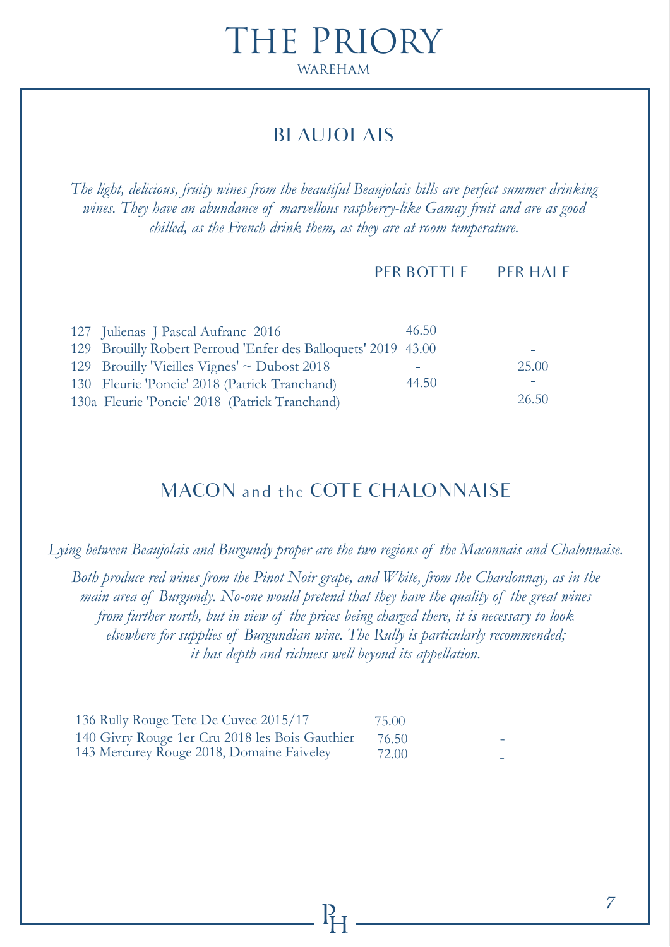# BEAUJOLAIS

*The light, delicious, fruity wines from the beautiful Beaujolais hills are perfect summer drinking wines. They have an abundance of marvellous raspberry-like Gamay fruit and are as good chilled, as the French drink them, as they are at room temperature.*

#### PER BOTTLE PER HALF

| 127 Julienas J Pascal Aufranc 2016                            | 46.50 |       |
|---------------------------------------------------------------|-------|-------|
| 129 Brouilly Robert Perroud 'Enfer des Balloquets' 2019 43.00 |       |       |
| 129 Brouilly 'Vieilles Vignes' $\sim$ Dubost 2018             |       | 25.00 |
| 130 Fleurie 'Poncie' 2018 (Patrick Tranchand)                 | 44.50 |       |
| 130a Fleurie 'Poncie' 2018 (Patrick Tranchand)                |       | 26.50 |

# MACON and the COTE CHALONNAISE

*Lying between Beaujolais and Burgundy proper are the two regions of the Maconnais and Chalonnaise.* 

*Both produce red wines from the Pinot Noir grape, and White, from the Chardonnay, as in the main area of Burgundy. No-one would pretend that they have the quality of the great wines from further north, but in view of the prices being charged there, it is necessary to look elsewhere for supplies of Burgundian wine. The Rully is particularly recommended; it has depth and richness well beyond its appellation.*

| 136 Rully Rouge Tete De Cuvee 2015/17          | 75.00 |  |
|------------------------------------------------|-------|--|
| 140 Givry Rouge 1er Cru 2018 les Bois Gauthier | 76.50 |  |
| 143 Mercurey Rouge 2018, Domaine Faiveley      | 72.00 |  |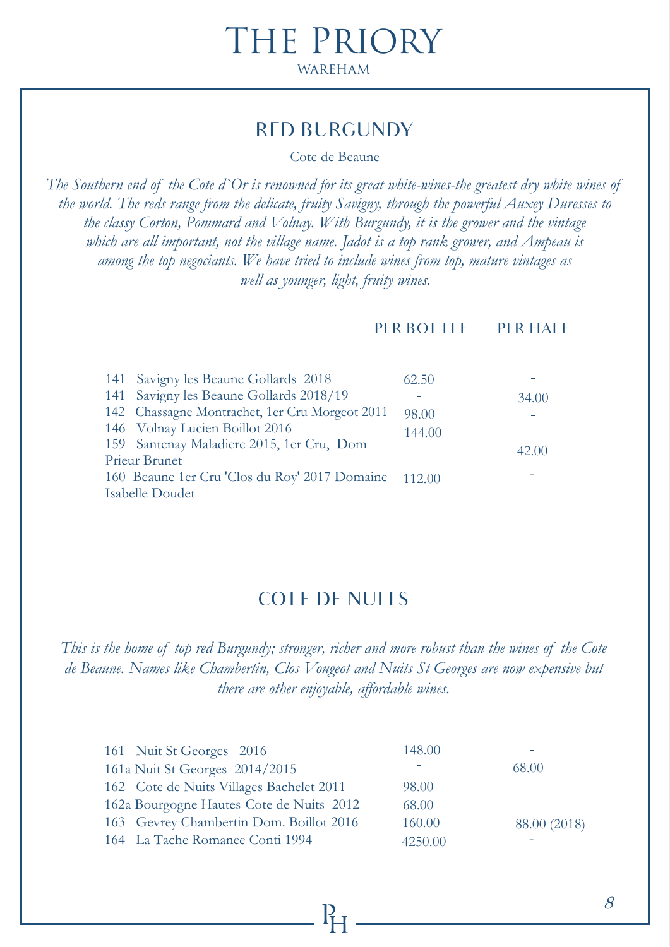### RED BURGUNDY

Cote de Beaune

*The Southern end of the Cote d`Or is renowned for its great white-wines-the greatest dry white wines of the world. The reds range from the delicate, fruity Savigny, through the powerful Auxey Duresses to the classy Corton, Pommard and Volnay. With Burgundy, it is the grower and the vintage which are all important, not the village name. Jadot is a top rank grower, and Ampeau is among the top negociants. We have tried to include wines from top, mature vintages as well as younger, light, fruity wines.*

PER BOTTLE PER HALF

| 141 Savigny les Beaune Gollards 2018                 | 62.50  |       |
|------------------------------------------------------|--------|-------|
| 141 Savigny les Beaune Gollards 2018/19              |        | 34.00 |
| 142 Chassagne Montrachet, 1er Cru Morgeot 2011       | 98.00  |       |
| 146 Volnay Lucien Boillot 2016                       | 144.00 |       |
| 159 Santenay Maladiere 2015, 1er Cru, Dom            |        | 42.00 |
| Prieur Brunet                                        |        |       |
| 160 Beaune 1er Cru 'Clos du Roy' 2017 Domaine 112.00 |        |       |
| Isabelle Doudet                                      |        |       |
|                                                      |        |       |

### COTE DE NUITS

*This is the home of top red Burgundy; stronger, richer and more robust than the wines of the Cote de Beaune. Names like Chambertin, Clos Vougeot and Nuits St Georges are now expensive but there are other enjoyable, affordable wines.*

| 161 Nuit St Georges 2016                 | 148.00  |              |
|------------------------------------------|---------|--------------|
| 161a Nuit St Georges 2014/2015           |         | 68.00        |
| 162 Cote de Nuits Villages Bachelet 2011 | 98.00   |              |
| 162a Bourgogne Hautes-Cote de Nuits 2012 | 68.00   |              |
| 163 Gevrey Chambertin Dom. Boillot 2016  | 160.00  | 88.00 (2018) |
| 164 La Tache Romanee Conti 1994          | 4250.00 |              |

8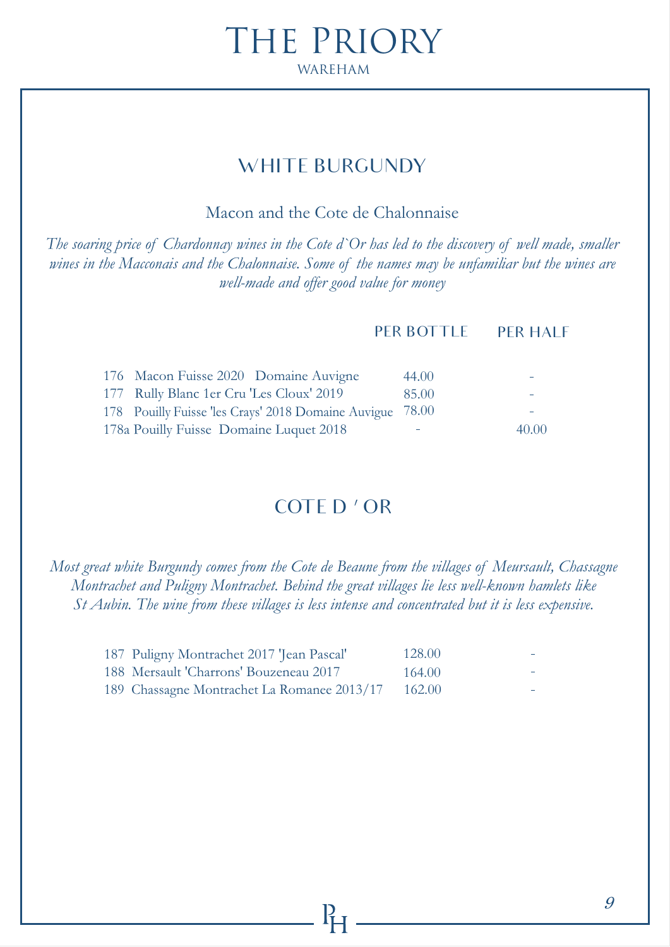# WHITE BURGUNDY

Macon and the Cote de Chalonnaise

*The soaring price of Chardonnay wines in the Cote d`Or has led to the discovery of well made, smaller wines in the Macconais and the Chalonnaise. Some of the names may be unfamiliar but the wines are well-made and offer good value for money*

#### PER BOTTLE PER HALF

| 176 Macon Fuisse 2020 Domaine Auvigne                     | 44.00 |       |
|-----------------------------------------------------------|-------|-------|
| 177 Rully Blanc 1er Cru 'Les Cloux' 2019                  | 85.00 |       |
| 178 Pouilly Fuisse 'les Crays' 2018 Domaine Auvigue 78.00 |       |       |
| 178a Pouilly Fuisse Domaine Luquet 2018                   |       | 40.00 |

# COTE D ' OR

*Most great white Burgundy comes from the Cote de Beaune from the villages of Meursault, Chassagne Montrachet and Puligny Montrachet. Behind the great villages lie less well-known hamlets like St Aubin. The wine from these villages is less intense and concentrated but it is less expensive.*

| 187 Puligny Montrachet 2017 'Jean Pascal'   | 128.00 |  |
|---------------------------------------------|--------|--|
| 188 Mersault 'Charrons' Bouzeneau 2017      | 164.00 |  |
| 189 Chassagne Montrachet La Romanee 2013/17 | 162.00 |  |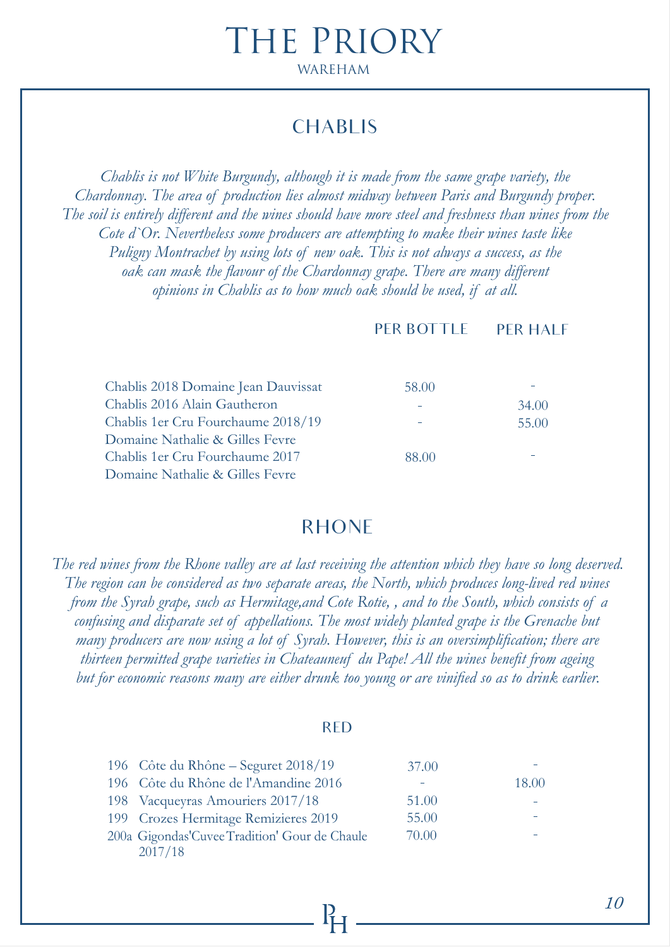# CHABLIS

*Chablis is not White Burgundy, although it is made from the same grape variety, the Chardonnay. The area of production lies almost midway between Paris and Burgundy proper. The soil is entirely different and the wines should have more steel and freshness than wines from the Cote d`Or. Nevertheless some producers are attempting to make their wines taste like Puligny Montrachet by using lots of new oak. This is not always a success, as the oak can mask the flavour of the Chardonnay grape. There are many different opinions in Chablis as to how much oak should be used, if at all.*

PER BOTTLE PER HALF

| Chablis 2018 Domaine Jean Dauvissat | 58.00 |       |
|-------------------------------------|-------|-------|
| Chablis 2016 Alain Gautheron        |       | 34.00 |
| Chablis 1 er Cru Fourchaume 2018/19 |       | 55.00 |
| Domaine Nathalie & Gilles Fevre     |       |       |
| Chablis 1 er Cru Fourchaume 2017    | 88.00 |       |
| Domaine Nathalie & Gilles Fevre     |       |       |

### RHONE

*The red wines from the Rhone valley are at last receiving the attention which they have so long deserved. The region can be considered as two separate areas, the North, which produces long-lived red wines from the Syrah grape, such as Hermitage,and Cote Rotie, , and to the South, which consists of a confusing and disparate set of appellations. The most widely planted grape is the Grenache but many producers are now using a lot of Syrah. However, this is an oversimplification; there are thirteen permitted grape varieties in Chateauneuf du Pape! All the wines benefit from ageing but for economic reasons many are either drunk too young or are vinified so as to drink earlier.*

#### RED

| 196 Côte du Rhône – Seguret 2018/19            | 37.00 |       |
|------------------------------------------------|-------|-------|
| 196 Côte du Rhône de l'Amandine 2016           |       | 18.00 |
| 198 Vacqueyras Amouriers 2017/18               | 51.00 |       |
| 199 Crozes Hermitage Remizieres 2019           | 55.00 |       |
| 200a Gigondas' Cuvee Tradition' Gour de Chaule | 70.00 |       |
| 2017/18                                        |       |       |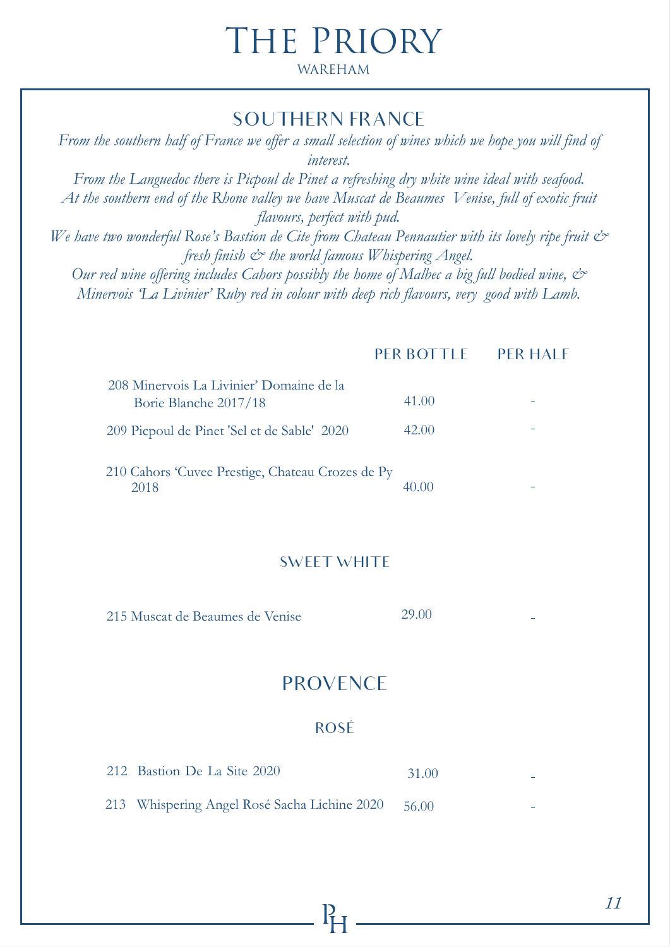# THE PRIORY

#### WAREHAM

### SOUTHERN FRANCE

*From the southern half of France we offer a small selection of wines which we hope you will find of interest. From the Languedoc there is Picpoul de Pinet a refreshing dry white wine ideal with seafood. At the southern end of the Rhone valley we have Muscat de Beaumes Venise, full of exotic fruit flavours, perfect with pud.* We have two wonderful Rose's Bastion de Cite from Chateau Pennautier with its lovely ripe fruit  $\mathcal{Q}^*$ *fresh finish & the world famous Whispering Angel. Our red wine offering includes Cahors possibly the home of Malbec a big full bodied wine, & Minervois 'La Livinier' Ruby red in colour with deep rich flavours, very good with Lamb.* 

#### PER BOTTLE PER HALF

| 208 Minervois La Livinier' Domaine de la<br>Borie Blanche 2017/18 | 41.00 |  |
|-------------------------------------------------------------------|-------|--|
| 209 Picpoul de Pinet 'Sel et de Sable' 2020                       | 42.00 |  |
| 210 Cahors 'Cuvee Prestige, Chateau Crozes de Py<br>2018          |       |  |

#### SWEET WHITE

215 Muscat de Beaumes de Venise 29.00

### **PROVENCE**

#### ROSÉ

| 212 Bastion De La Site 2020                  | 31.00   |  |
|----------------------------------------------|---------|--|
| 213 Whispering Angel Rosé Sacha Lichine 2020 | - 56.00 |  |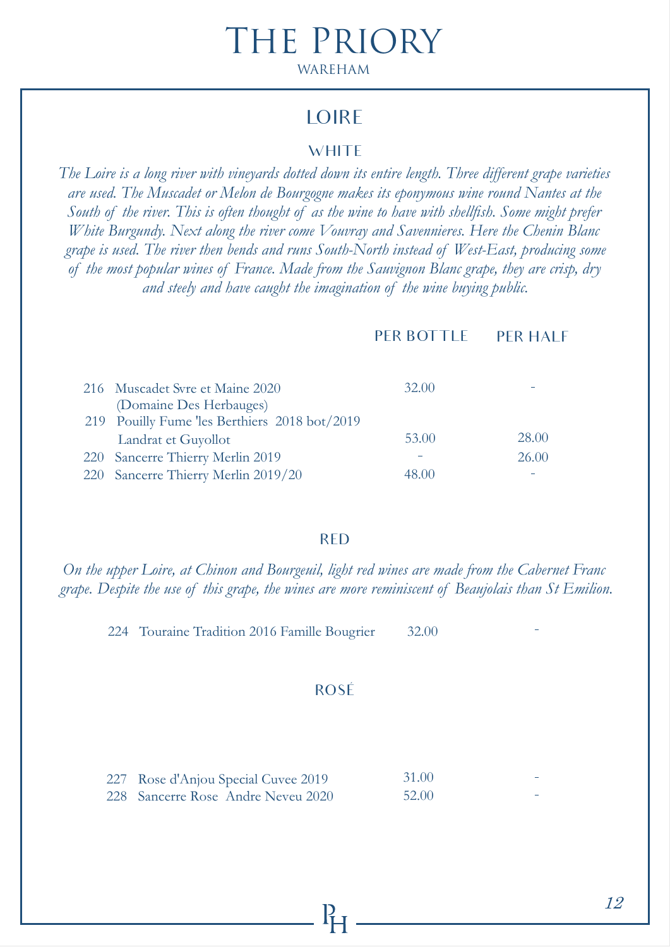### **LOIRE**

#### **WHITE**

*The Loire is a long river with vineyards dotted down its entire length. Three different grape varieties are used. The Muscadet or Melon de Bourgogne makes its eponymous wine round Nantes at the South of the river. This is often thought of as the wine to have with shellfish. Some might prefer White Burgundy. Next along the river come Vouvray and Savennieres. Here the Chenin Blanc grape is used. The river then bends and runs South-North instead of West-East, producing some of the most popular wines of France. Made from the Sauvignon Blanc grape, they are crisp, dry and steely and have caught the imagination of the wine buying public.*

|                                                            | PER BOTTLE | <b>PER HALF</b> |
|------------------------------------------------------------|------------|-----------------|
|                                                            |            |                 |
| 216 Muscadet Svre et Maine 2020<br>(Domaine Des Herbauges) | 32.00      |                 |
| 219 Pouilly Fume 'les Berthiers 2018 bot/2019              |            |                 |
| Landrat et Guyollot                                        | 53.00      | 28.00           |
| 220 Sancerre Thierry Merlin 2019                           |            | 26.00           |
| 220 Sancerre Thierry Merlin 2019/20                        |            |                 |

#### RED

*On the upper Loire, at Chinon and Bourgeuil, light red wines are made from the Cabernet Franc grape. Despite the use of this grape, the wines are more reminiscent of Beaujolais than St Emilion.*

 224 Touraine Tradition 2016 Famille Bougrier 32.00

#### ROSÉ

| 227 Rose d'Anjou Special Cuvee 2019 | <b>31.00</b> | $\overline{\phantom{a}}$ |
|-------------------------------------|--------------|--------------------------|
| 228 Sancerre Rose Andre Neveu 2020  | 52.00        | $\sim$                   |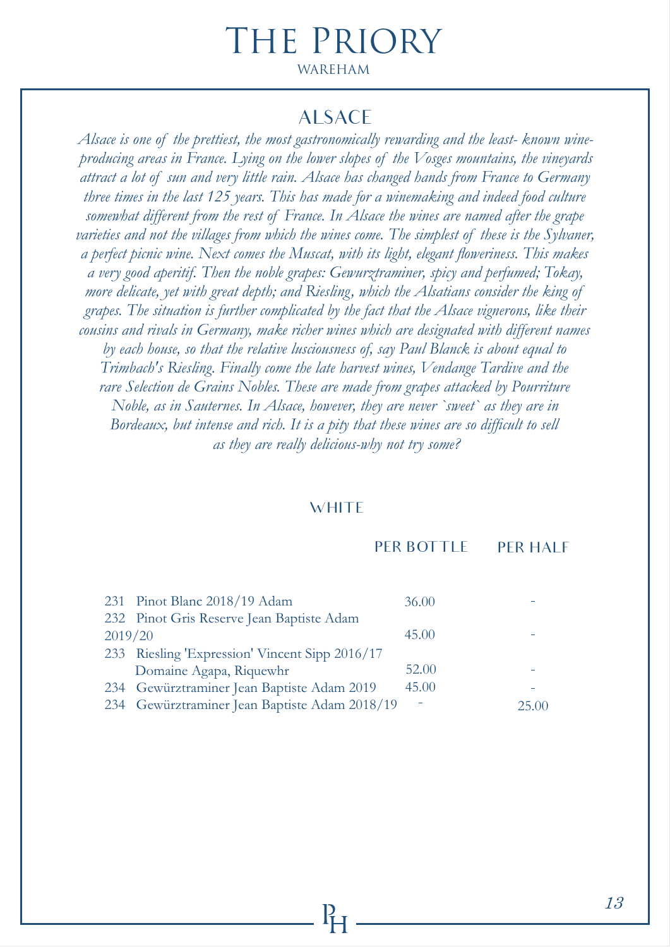#### ALSACE

*Alsace is one of the prettiest, the most gastronomically rewarding and the least- known wineproducing areas in France. Lying on the lower slopes of the Vosges mountains, the vineyards attract a lot of sun and very little rain. Alsace has changed hands from France to Germany three times in the last 125 years. This has made for a winemaking and indeed food culture somewhat different from the rest of France. In Alsace the wines are named after the grape varieties and not the villages from which the wines come. The simplest of these is the Sylvaner, a perfect picnic wine. Next comes the Muscat, with its light, elegant floweriness. This makes a very good aperitif. Then the noble grapes: Gewurztraminer, spicy and perfumed; Tokay, more delicate, yet with great depth; and Riesling, which the Alsatians consider the king of grapes. The situation is further complicated by the fact that the Alsace vignerons, like their cousins and rivals in Germany, make richer wines which are designated with different names by each house, so that the relative lusciousness of, say Paul Blanck is about equal to Trimbach's Riesling. Finally come the late harvest wines, Vendange Tardive and the rare Selection de Grains Nobles. These are made from grapes attacked by Pourriture Noble, as in Sauternes. In Alsace, however, they are never `sweet` as they are in Bordeaux, but intense and rich. It is a pity that these wines are so difficult to sell as they are really delicious-why not try some?*

#### **WHITE**

#### PER BOTTLE PER HALF

|         | 231 Pinot Blanc 2018/19 Adam                   | 36.00 |       |
|---------|------------------------------------------------|-------|-------|
|         | 232 Pinot Gris Reserve Jean Baptiste Adam      |       |       |
| 2019/20 |                                                | 45.00 |       |
|         | 233 Riesling 'Expression' Vincent Sipp 2016/17 |       |       |
|         | Domaine Agapa, Riquewhr                        | 52.00 |       |
|         | 234 Gewürztraminer Jean Baptiste Adam 2019     | 45.00 |       |
|         | 234 Gewürztraminer Jean Baptiste Adam 2018/19  |       | 25.00 |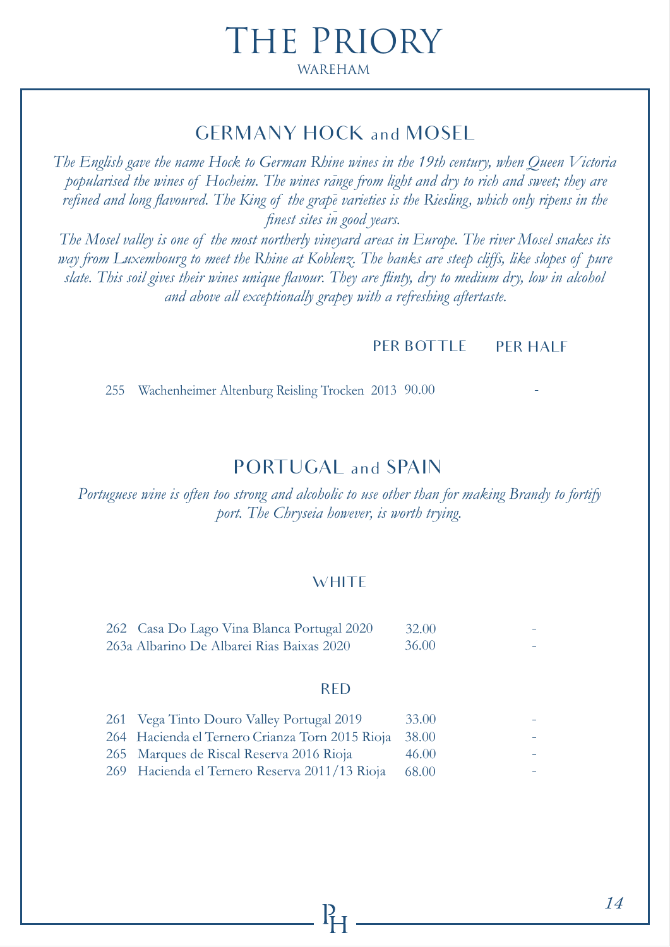# GERMANY HOCK and MOSEL

*The English gave the name Hock to German Rhine wines in the 19th century, when Queen Victoria popularised the wines of Hocheim. The wines range from light and dry to rich and sweet; they are refined and long flavoured. The King of the grape varieties is the Riesling, which only ripens in the finest sites in good years.*

*The Mosel valley is one of the most northerly vineyard areas in Europe. The river Mosel snakes its way from Luxembourg to meet the Rhine at Koblenz. The banks are steep cliffs, like slopes of pure slate. This soil gives their wines unique flavour. They are flinty, dry to medium dry, low in alcohol and above all exceptionally grapey with a refreshing aftertaste.*

#### PER BOTTLE PER HALF

255 Wachenheimer Altenburg Reisling Trocken 2013 90.00

### PORTUGAL and SPAIN

*Portuguese wine is often too strong and alcoholic to use other than for making Brandy to fortify port. The Chryseia however, is worth trying.*

#### **WHITE**

| 262 Casa Do Lago Vina Blanca Portugal 2020 | 32.00        |
|--------------------------------------------|--------------|
| 263a Albarino De Albarei Rias Baixas 2020  | <b>36.00</b> |

#### RED

| 261 Vega Tinto Douro Valley Portugal 2019             | 33.00 |  |
|-------------------------------------------------------|-------|--|
| 264 Hacienda el Ternero Crianza Torn 2015 Rioja 38.00 |       |  |
| 265 Marques de Riscal Reserva 2016 Rioja              | 46.00 |  |
| 269 Hacienda el Ternero Reserva 2011/13 Rioja         | 68.00 |  |
|                                                       |       |  |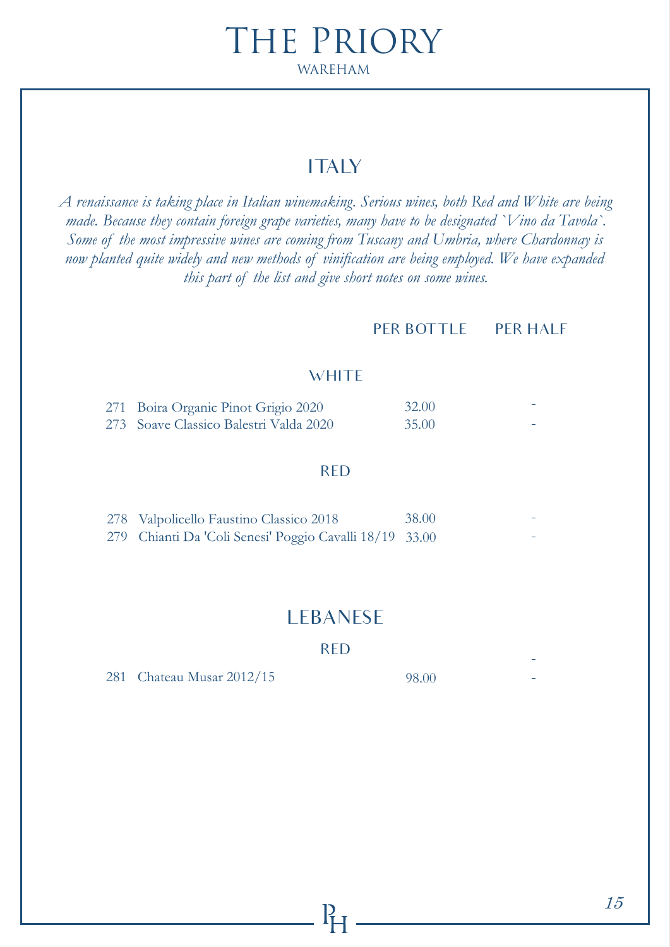# **ITALY**

*A renaissance is taking place in Italian winemaking. Serious wines, both Red and White are being made. Because they contain foreign grape varieties, many have to be designated `Vino da Tavola`. Some of the most impressive wines are coming from Tuscany and Umbria, where Chardonnay is now planted quite widely and new methods of vinification are being employed. We have expanded this part of the list and give short notes on some wines.*

PER BOTTLE PER HALF

#### **WHITE**

| 271 Boira Organic Pinot Grigio 2020    | 32.00 |        |
|----------------------------------------|-------|--------|
| 273 Soave Classico Balestri Valda 2020 | 35.00 | $\sim$ |

#### RED

| 278 Valpolicello Faustino Classico 2018                 | 38.00 | $\sim$ |
|---------------------------------------------------------|-------|--------|
| 279 Chianti Da 'Coli Senesi' Poggio Cavalli 18/19 33.00 |       | $\sim$ |

### LEBANESE

RED

281 Chateau Musar 2012/15 98.00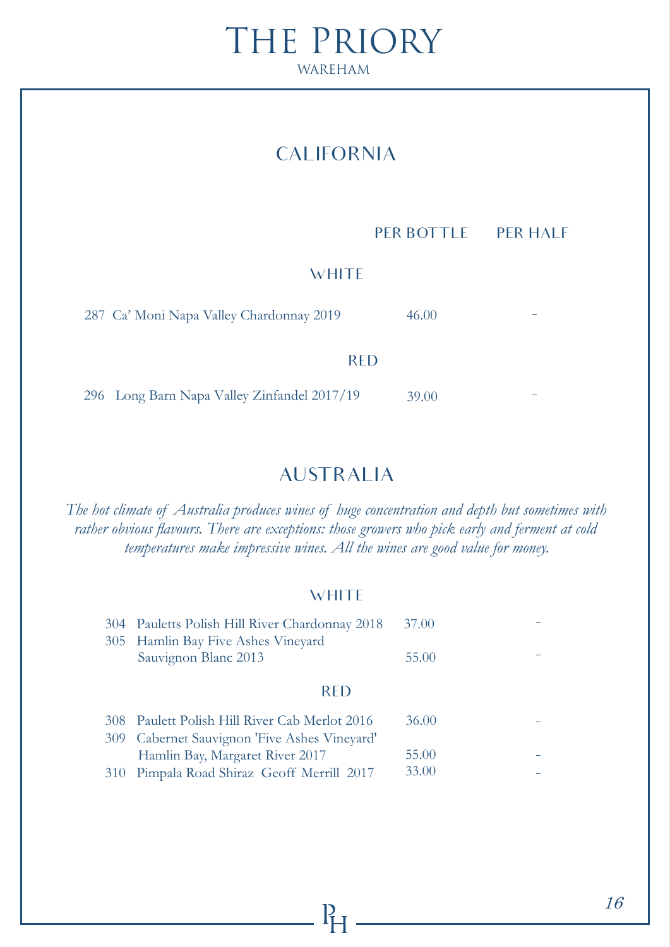# CALIFORNIA

PER BOTTLE PER HALF

#### **WHITE**

287 Ca' Moni Napa Valley Chardonnay 2019 RED 46.00

296 Long Barn Napa Valley Zinfandel 2017/19 39.00

# AUSTRALIA

*The hot climate of Australia produces wines of huge concentration and depth but sometimes with rather obvious flavours. There are exceptions: those growers who pick early and ferment at cold temperatures make impressive wines. All the wines are good value for money.*

#### **WHITE**

| 304 Pauletts Polish Hill River Chardonnay 2018<br>305 Hamlin Bay Five Ashes Vineyard | 37.00 |  |
|--------------------------------------------------------------------------------------|-------|--|
| Sauvignon Blanc 2013                                                                 | 55.00 |  |
| RED.                                                                                 |       |  |
| 308 Paulett Polish Hill River Cab Merlot 2016                                        | 36.00 |  |
| 309 Cabernet Sauvignon 'Five Ashes Vineyard'                                         |       |  |
| Hamlin Bay, Margaret River 2017                                                      | 55.00 |  |
| 310 Pimpala Road Shiraz Geoff Merrill 2017                                           | 33.00 |  |
|                                                                                      |       |  |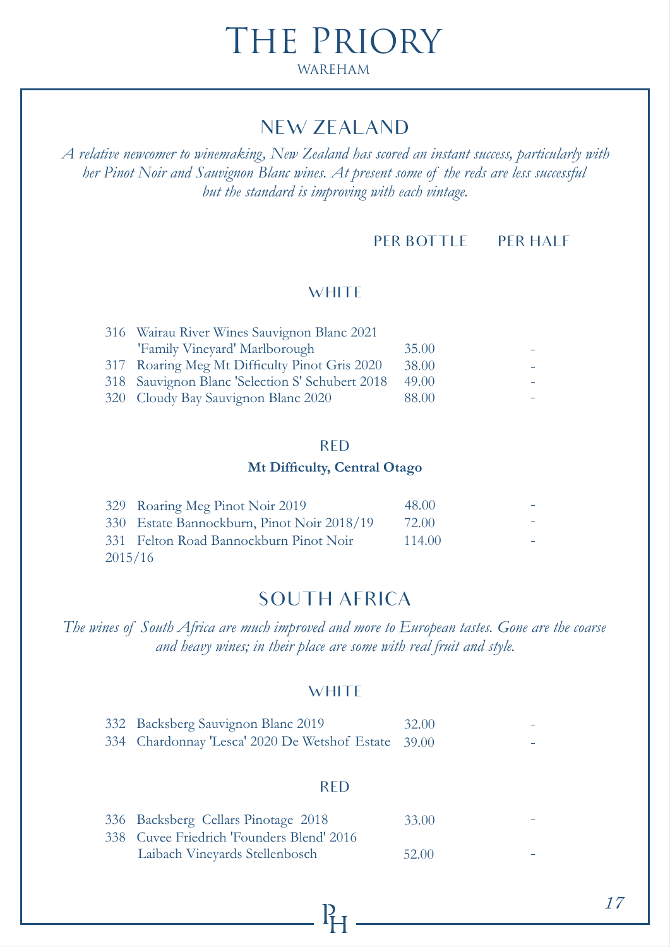# NEW ZEALAND

*A relative newcomer to winemaking, New Zealand has scored an instant success, particularly with her Pinot Noir and Sauvignon Blanc wines. At present some of the reds are less successful but the standard is improving with each vintage.*

#### PER BOTTLE PER HALF

#### **WHITE**

| 316 Wairau River Wines Sauvignon Blanc 2021     |       |  |
|-------------------------------------------------|-------|--|
| 'Family Vineyard' Marlborough                   | 35.00 |  |
| 317 Roaring Meg Mt Difficulty Pinot Gris 2020   | 38.00 |  |
| 318 Sauvignon Blanc 'Selection S' Schubert 2018 | 49.00 |  |
| 320 Cloudy Bay Sauvignon Blanc 2020             | 88.00 |  |

#### RED

#### **Mt Difficulty, Central Otago**

|         | 329 Roaring Meg Pinot Noir 2019            | 48.00  |  |
|---------|--------------------------------------------|--------|--|
|         | 330 Estate Bannockburn, Pinot Noir 2018/19 | 72.00  |  |
|         | 331 Felton Road Bannockburn Pinot Noir     | 114.00 |  |
| 2015/16 |                                            |        |  |

### SOUTH AFRICA

*The wines of South Africa are much improved and more to European tastes. Gone are the coarse and heavy wines; in their place are some with real fruit and style.*

#### **WHITE**

| 332 Backsberg Sauvignon Blanc 2019                  | 32.00 |  |
|-----------------------------------------------------|-------|--|
| 334 Chardonnay 'Lesca' 2020 De Wetshof Estate 39.00 |       |  |

#### RED

| 336 Backsberg Cellars Pinotage 2018       | 33.00 |  |
|-------------------------------------------|-------|--|
| 338 Cuvee Friedrich 'Founders Blend' 2016 |       |  |
| Laibach Vineyards Stellenbosch            | 52.00 |  |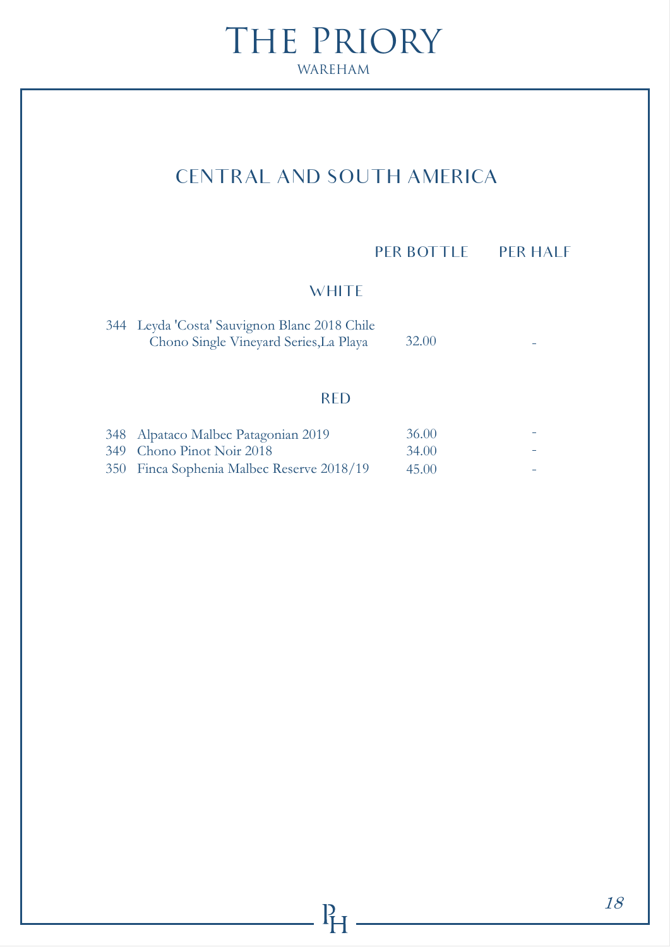# CENTRAL AND SOUTH AMERICA

#### PER BOTTLE PER HALF

#### **WHITE**

| 344 Leyda 'Costa' Sauvignon Blanc 2018 Chile |       |   |
|----------------------------------------------|-------|---|
| Chono Single Vineyard Series, La Playa       | 32.00 | - |

#### RED

 $P_{H}$ 

| 348 Alpataco Malbec Patagonian 2019       | 36.00 |  |
|-------------------------------------------|-------|--|
| 349 Chono Pinot Noir 2018                 | 34.00 |  |
| 350 Finca Sophenia Malbec Reserve 2018/19 | 45.00 |  |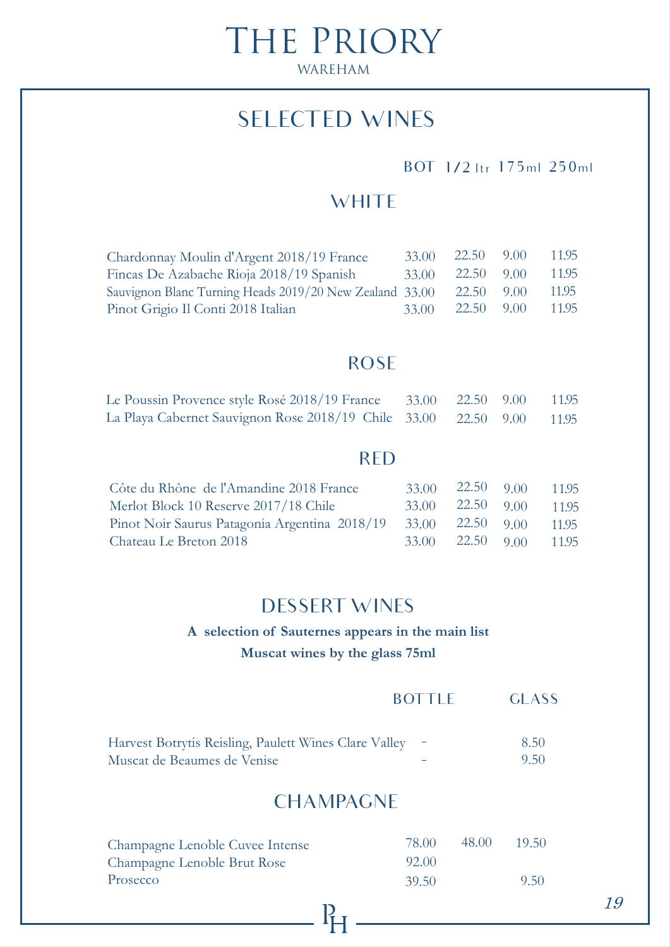# SELECTED WINES

#### BOT 1/2 ltr 175ml 250ml

# **WHITE**

| Chardonnay Moulin d'Argent 2018/19 France               | 33.00 | 22.50 9.00 | 11.95 |
|---------------------------------------------------------|-------|------------|-------|
| Fincas De Azabache Rioja 2018/19 Spanish                | 33.00 | 22.50 9.00 | 11.95 |
| Sauvignon Blanc Turning Heads 2019/20 New Zealand 33.00 |       | 22.50 9.00 | 11.95 |
| Pinot Grigio Il Conti 2018 Italian                      | 33.00 | 22.50 9.00 | 11.95 |

#### ROSE

| Le Poussin Provence style Rosé 2018/19 France 33.00 22.50 9.00 11.95  |  |  |
|-----------------------------------------------------------------------|--|--|
| La Playa Cabernet Sauvignon Rose 2018/19 Chile 33.00 22.50 9.00 11.95 |  |  |

### RED

| Côte du Rhône de l'Amandine 2018 France       | $33.00 \quad 22.50 \quad 9.00$ | 11.95 |
|-----------------------------------------------|--------------------------------|-------|
| Merlot Block 10 Reserve 2017/18 Chile         | $33.00 \quad 22.50 \quad 9.00$ | 11.95 |
| Pinot Noir Saurus Patagonia Argentina 2018/19 | $33.00$ $22.50$ $9.00$         | 11.95 |
| Chateau Le Breton 2018                        | $33.00 \quad 22.50 \quad 9.00$ | 11.95 |

### DESSERT WINES

### **A selection of Sauternes appears in the main list Muscat wines by the glass 75ml**

|                                                         | BOL II E | CLASS |
|---------------------------------------------------------|----------|-------|
|                                                         |          |       |
| Harvest Botrytis Reisling, Paulett Wines Clare Valley - |          | 8.50  |
| Muscat de Beaumes de Venise                             |          | 9.50  |

# **CHAMPAGNE**

| Champagne Lenoble Cuvee Intense | 78.00  | 48.00 | 19.50 |
|---------------------------------|--------|-------|-------|
| Champagne Lenoble Brut Rose     | -92.00 |       |       |
| Prosecco                        | 39.50  |       | 9.50  |

 $P_{H}$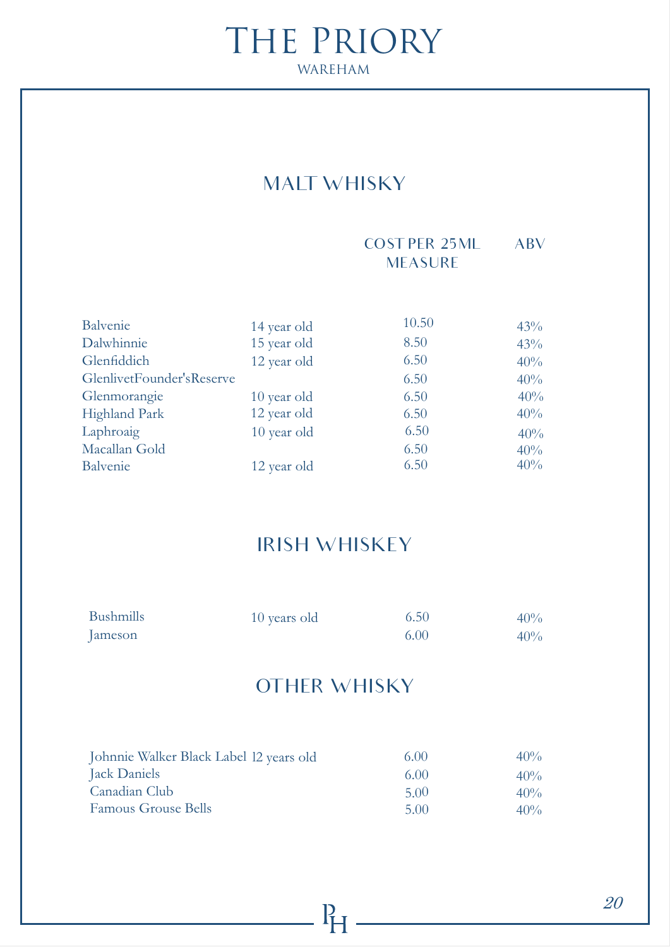# MALT WHISKY

#### COST PER 25ML ABV **MEASURE**

| Balvenie                  | 14 year old | 10.50 | 43% |
|---------------------------|-------------|-------|-----|
| Dalwhinnie                | 15 year old | 8.50  | 43% |
| Glenfiddich               | 12 year old | 6.50  | 40% |
| GlenlivetFounder'sReserve |             | 6.50  | 40% |
| Glenmorangie              | 10 year old | 6.50  | 40% |
| Highland Park             | 12 year old | 6.50  | 40% |
| Laphroaig                 | 10 year old | 6.50  | 40% |
| Macallan Gold             |             | 6.50  | 40% |
| Balvenie                  | 12 year old | 6.50  | 40% |

# IRISH WHISKEY

| <b>Bushmills</b> | 10 years old | 6.50 | 40% |
|------------------|--------------|------|-----|
| Jameson          |              | 6.00 | 40% |

# OTHER WHISKY

| Johnnie Walker Black Label 12 years old | 6.00 | $40\%$ |
|-----------------------------------------|------|--------|
| Jack Daniels                            | 6.00 | $40\%$ |
| Canadian Club                           | 5.00 | $40\%$ |
| <b>Famous Grouse Bells</b>              | 5.00 | $40\%$ |

 $P_{H}$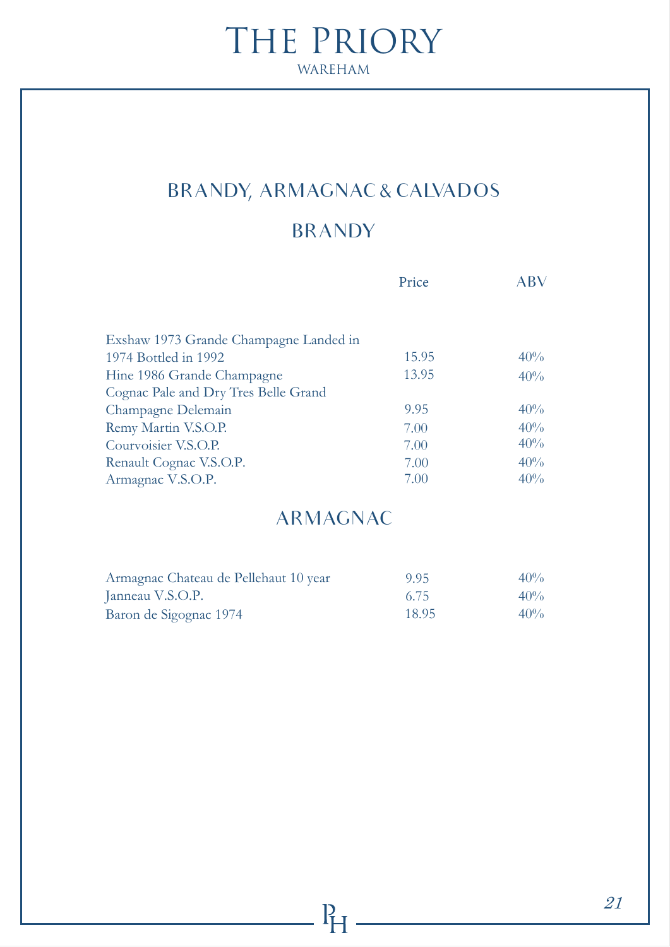# BRANDY, ARMAGNAC & CALVADOS

# BRANDY

|                                        | Price | ABV |
|----------------------------------------|-------|-----|
|                                        |       |     |
|                                        |       |     |
| Exshaw 1973 Grande Champagne Landed in |       |     |
| 1974 Bottled in 1992                   | 15.95 | 40% |
| Hine 1986 Grande Champagne             | 13.95 | 40% |
| Cognac Pale and Dry Tres Belle Grand   |       |     |
| Champagne Delemain                     | 9.95  | 40% |
| Remy Martin V.S.O.P.                   | 7.00  | 40% |
| Courvoisier V.S.O.P.                   | 7.00  | 40% |
| Renault Cognac V.S.O.P.                | 7.00  | 40% |
| Armagnac V.S.O.P.                      | 7.00  | 40% |

# ARMAGNAC

| Armagnac Chateau de Pellehaut 10 year | 9.95  | $40\%$ |
|---------------------------------------|-------|--------|
| Janneau V.S.O.P.                      | 6.75  | $40\%$ |
| Baron de Sigognac 1974                | 18.95 | $40\%$ |

 $P_{\text{F}}$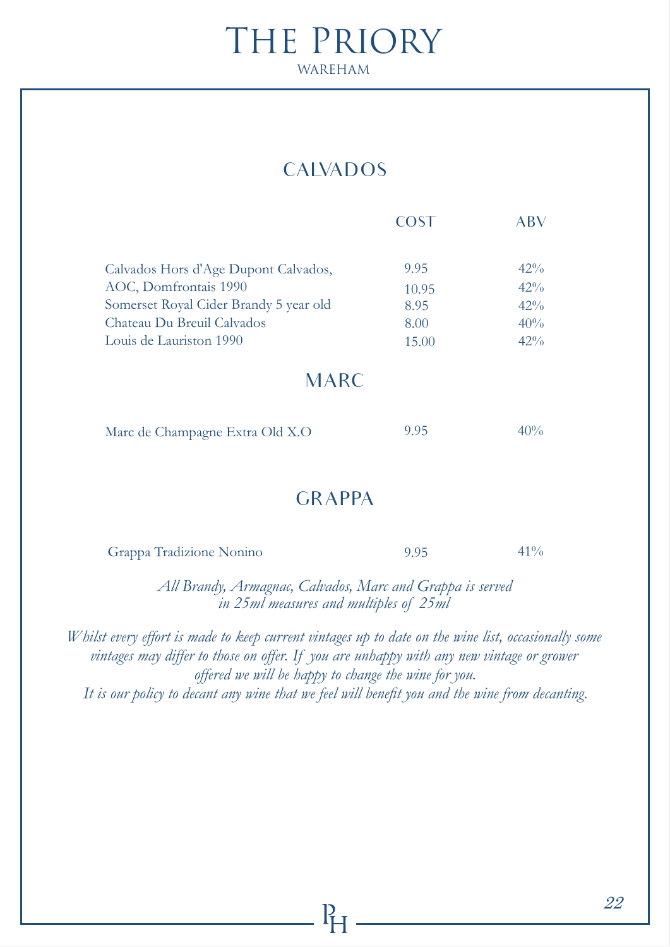# **CALVADOS**

|                                        | COST  | ABV    |
|----------------------------------------|-------|--------|
|                                        |       |        |
| Calvados Hors d'Age Dupont Calvados,   | 9.95  | $42\%$ |
| AOC, Domfrontais 1990                  | 10.95 | 42%    |
| Somerset Royal Cider Brandy 5 year old | 8.95  | 42%    |
| Chateau Du Breuil Calvados             | 8.00  | 40%    |
| Louis de Lauriston 1990                | 15.00 | $42\%$ |
|                                        |       |        |
| <b>MARC</b>                            |       |        |
|                                        |       |        |
| Marc de Champagne Extra Old X.O        | 9.95  | $40\%$ |
|                                        |       |        |

### **GRAPPA**

| Grappa Tradizione Nonino | 9.95 | $41\%$ |
|--------------------------|------|--------|
|--------------------------|------|--------|

*All Brandy, Armagnac, Calvados, Marc and Grappa is served in 25ml measures and multiples of 25ml*

*Whilst every effort is made to keep current vintages up to date on the wine list, occasionally some vintages may differ to those on offer. If you are unhappy with any new vintage or grower offered we will be happy to change the wine for you. It is our policy to decant any wine that we feel will benefit you and the wine from decanting.*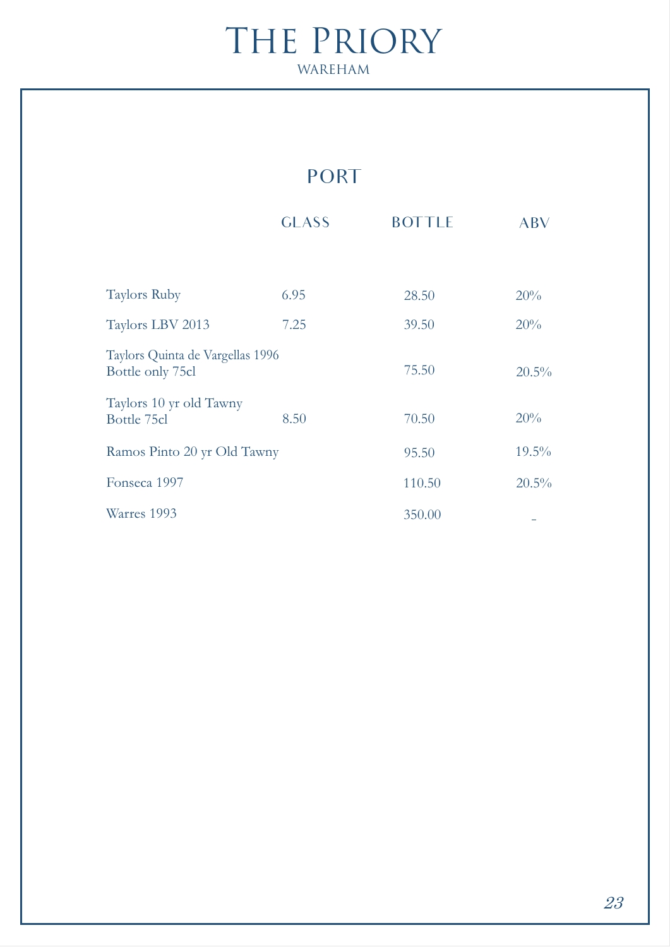# PORT

|                                                      | <b>GLASS</b> | <b>BOTTLE</b> | ABV      |
|------------------------------------------------------|--------------|---------------|----------|
|                                                      |              |               |          |
| <b>Taylors Ruby</b>                                  | 6.95         | 28.50         | 20%      |
| Taylors LBV 2013                                     | 7.25         | 39.50         | 20%      |
| Taylors Quinta de Vargellas 1996<br>Bottle only 75cl |              | 75.50         | 20.5%    |
| Taylors 10 yr old Tawny<br>Bottle 75cl               | 8.50         | 70.50         | 20%      |
| Ramos Pinto 20 yr Old Tawny                          |              | 95.50         | $19.5\%$ |
| Fonseca 1997                                         |              | 110.50        | $20.5\%$ |
| Warres 1993                                          |              | 350.00        |          |